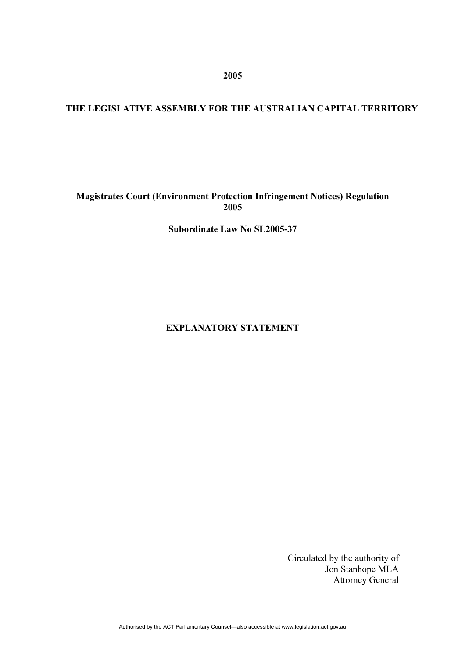**2005** 

# **THE LEGISLATIVE ASSEMBLY FOR THE AUSTRALIAN CAPITAL TERRITORY**

## **Magistrates Court (Environment Protection Infringement Notices) Regulation 2005**

**Subordinate Law No SL2005-37** 

**EXPLANATORY STATEMENT** 

Circulated by the authority of Jon Stanhope MLA Attorney General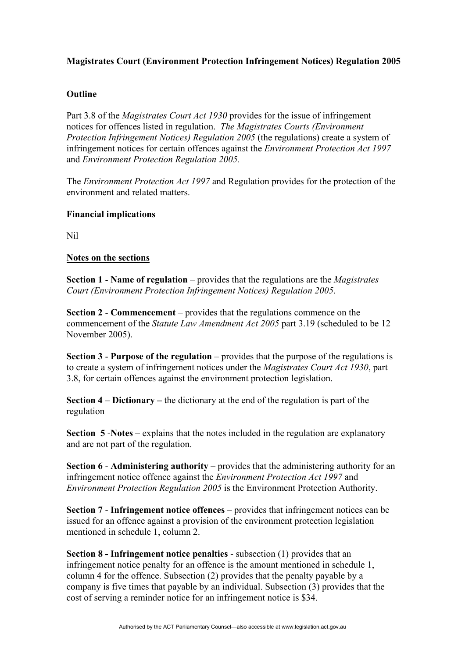## **Magistrates Court (Environment Protection Infringement Notices) Regulation 2005**

## **Outline**

Part 3.8 of the *Magistrates Court Act 1930* provides for the issue of infringement notices for offences listed in regulation. *The Magistrates Courts (Environment Protection Infringement Notices) Regulation 2005* (the regulations) create a system of infringement notices for certain offences against the *Environment Protection Act 1997* and *Environment Protection Regulation 2005.* 

The *Environment Protection Act 1997* and Regulation provides for the protection of the environment and related matters.

### **Financial implications**

Nil

#### **Notes on the sections**

**Section 1** - **Name of regulation** – provides that the regulations are the *Magistrates Court (Environment Protection Infringement Notices) Regulation 2005*.

**Section 2** - **Commencement** – provides that the regulations commence on the commencement of the *Statute Law Amendment Act 2005* part 3.19 (scheduled to be 12 November 2005).

**Section 3 - Purpose of the regulation** – provides that the purpose of the regulations is to create a system of infringement notices under the *Magistrates Court Act 1930*, part 3.8, for certain offences against the environment protection legislation.

**Section 4** – **Dictionary –** the dictionary at the end of the regulation is part of the regulation

**Section 5** -**Notes** – explains that the notes included in the regulation are explanatory and are not part of the regulation.

**Section 6** - **Administering authority** – provides that the administering authority for an infringement notice offence against the *Environment Protection Act 1997* and *Environment Protection Regulation 2005* is the Environment Protection Authority.

**Section 7** - **Infringement notice offences** – provides that infringement notices can be issued for an offence against a provision of the environment protection legislation mentioned in schedule 1, column 2.

**Section 8 - Infringement notice penalties** - subsection (1) provides that an infringement notice penalty for an offence is the amount mentioned in schedule 1, column 4 for the offence. Subsection (2) provides that the penalty payable by a company is five times that payable by an individual. Subsection (3) provides that the cost of serving a reminder notice for an infringement notice is \$34.